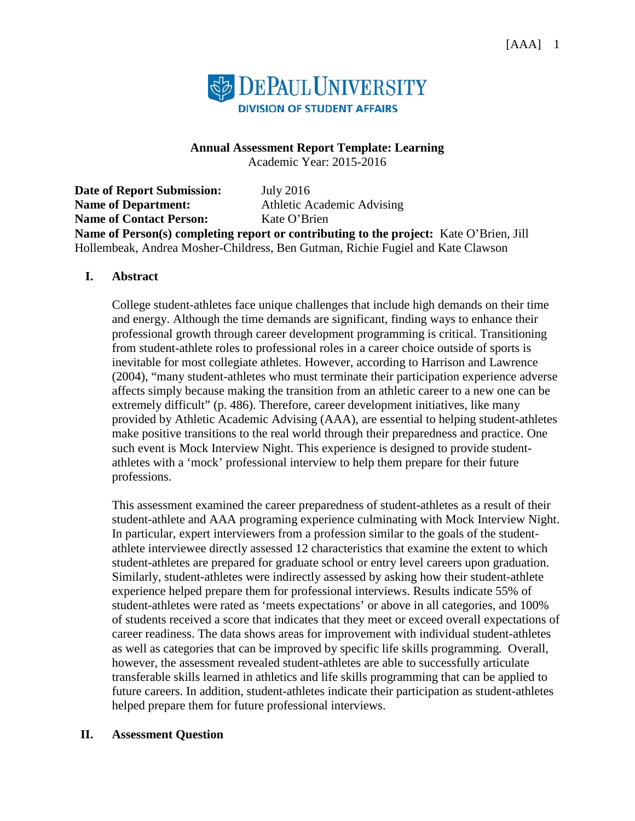

### **Annual Assessment Report Template: Learning**

Academic Year: 2015-2016

**Date of Report Submission:** July 2016 **Name of Department:** Athletic Academic Advising **Name of Contact Person:** Kate O'Brien **Name of Person(s) completing report or contributing to the project:** Kate O'Brien, Jill Hollembeak, Andrea Mosher-Childress, Ben Gutman, Richie Fugiel and Kate Clawson

### **I. Abstract**

College student-athletes face unique challenges that include high demands on their time and energy. Although the time demands are significant, finding ways to enhance their professional growth through career development programming is critical. Transitioning from student-athlete roles to professional roles in a career choice outside of sports is inevitable for most collegiate athletes. However, according to Harrison and Lawrence (2004), "many student-athletes who must terminate their participation experience adverse affects simply because making the transition from an athletic career to a new one can be extremely difficult" (p. 486). Therefore, career development initiatives, like many provided by Athletic Academic Advising (AAA), are essential to helping student-athletes make positive transitions to the real world through their preparedness and practice. One such event is Mock Interview Night. This experience is designed to provide studentathletes with a 'mock' professional interview to help them prepare for their future professions.

This assessment examined the career preparedness of student-athletes as a result of their student-athlete and AAA programing experience culminating with Mock Interview Night. In particular, expert interviewers from a profession similar to the goals of the studentathlete interviewee directly assessed 12 characteristics that examine the extent to which student-athletes are prepared for graduate school or entry level careers upon graduation. Similarly, student-athletes were indirectly assessed by asking how their student-athlete experience helped prepare them for professional interviews. Results indicate 55% of student-athletes were rated as 'meets expectations' or above in all categories, and 100% of students received a score that indicates that they meet or exceed overall expectations of career readiness. The data shows areas for improvement with individual student-athletes as well as categories that can be improved by specific life skills programming. Overall, however, the assessment revealed student-athletes are able to successfully articulate transferable skills learned in athletics and life skills programming that can be applied to future careers. In addition, student-athletes indicate their participation as student-athletes helped prepare them for future professional interviews.

### **II. Assessment Question**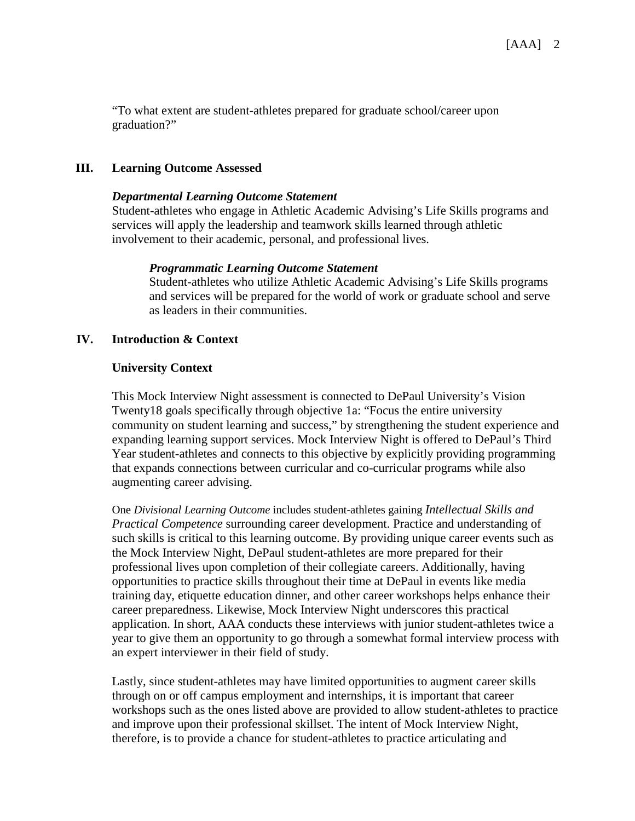"To what extent are student-athletes prepared for graduate school/career upon graduation?"

### **III. Learning Outcome Assessed**

### *Departmental Learning Outcome Statement*

Student-athletes who engage in Athletic Academic Advising's Life Skills programs and services will apply the leadership and teamwork skills learned through athletic involvement to their academic, personal, and professional lives.

#### *Programmatic Learning Outcome Statement*

Student-athletes who utilize Athletic Academic Advising's Life Skills programs and services will be prepared for the world of work or graduate school and serve as leaders in their communities.

### **IV. Introduction & Context**

### **University Context**

This Mock Interview Night assessment is connected to DePaul University's Vision Twenty18 goals specifically through objective 1a: "Focus the entire university community on student learning and success," by strengthening the student experience and expanding learning support services. Mock Interview Night is offered to DePaul's Third Year student-athletes and connects to this objective by explicitly providing programming that expands connections between curricular and co-curricular programs while also augmenting career advising.

One *Divisional Learning Outcome* includes student-athletes gaining *Intellectual Skills and Practical Competence* surrounding career development. Practice and understanding of such skills is critical to this learning outcome. By providing unique career events such as the Mock Interview Night, DePaul student-athletes are more prepared for their professional lives upon completion of their collegiate careers. Additionally, having opportunities to practice skills throughout their time at DePaul in events like media training day, etiquette education dinner, and other career workshops helps enhance their career preparedness. Likewise, Mock Interview Night underscores this practical application. In short, AAA conducts these interviews with junior student-athletes twice a year to give them an opportunity to go through a somewhat formal interview process with an expert interviewer in their field of study.

Lastly, since student-athletes may have limited opportunities to augment career skills through on or off campus employment and internships, it is important that career workshops such as the ones listed above are provided to allow student-athletes to practice and improve upon their professional skillset. The intent of Mock Interview Night, therefore, is to provide a chance for student-athletes to practice articulating and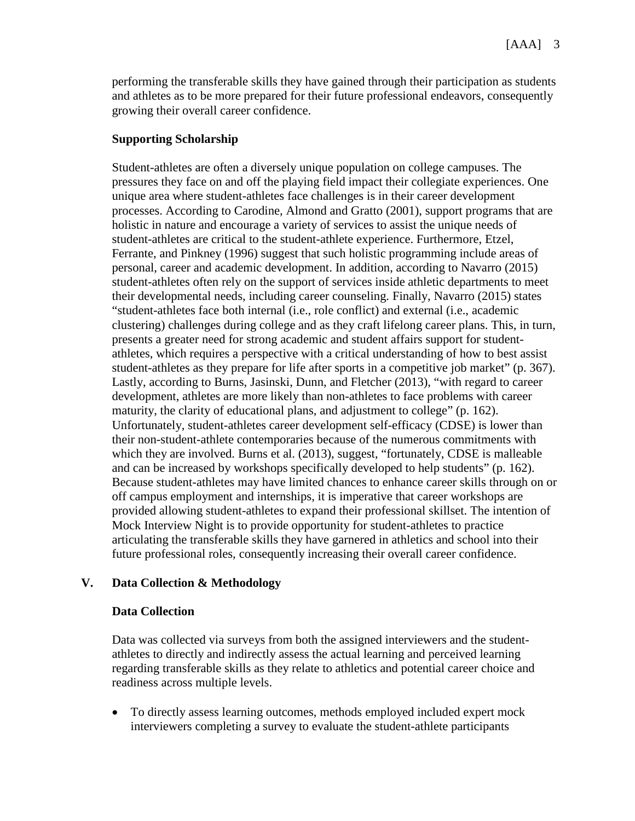performing the transferable skills they have gained through their participation as students and athletes as to be more prepared for their future professional endeavors, consequently growing their overall career confidence.

### **Supporting Scholarship**

Student-athletes are often a diversely unique population on college campuses. The pressures they face on and off the playing field impact their collegiate experiences. One unique area where student-athletes face challenges is in their career development processes. According to Carodine, Almond and Gratto (2001), support programs that are holistic in nature and encourage a variety of services to assist the unique needs of student-athletes are critical to the student-athlete experience. Furthermore, Etzel, Ferrante, and Pinkney (1996) suggest that such holistic programming include areas of personal, career and academic development. In addition, according to Navarro (2015) student-athletes often rely on the support of services inside athletic departments to meet their developmental needs, including career counseling. Finally, Navarro (2015) states "student-athletes face both internal (i.e., role conflict) and external (i.e., academic clustering) challenges during college and as they craft lifelong career plans. This, in turn, presents a greater need for strong academic and student affairs support for studentathletes, which requires a perspective with a critical understanding of how to best assist student-athletes as they prepare for life after sports in a competitive job market" (p. 367). Lastly, according to Burns, Jasinski, Dunn, and Fletcher (2013), "with regard to career development, athletes are more likely than non-athletes to face problems with career maturity, the clarity of educational plans, and adjustment to college" (p. 162). Unfortunately, student-athletes career development self-efficacy (CDSE) is lower than their non-student-athlete contemporaries because of the numerous commitments with which they are involved. Burns et al. (2013), suggest, "fortunately, CDSE is malleable and can be increased by workshops specifically developed to help students" (p. 162). Because student-athletes may have limited chances to enhance career skills through on or off campus employment and internships, it is imperative that career workshops are provided allowing student-athletes to expand their professional skillset. The intention of Mock Interview Night is to provide opportunity for student-athletes to practice articulating the transferable skills they have garnered in athletics and school into their future professional roles, consequently increasing their overall career confidence.

## **V. Data Collection & Methodology**

### **Data Collection**

Data was collected via surveys from both the assigned interviewers and the studentathletes to directly and indirectly assess the actual learning and perceived learning regarding transferable skills as they relate to athletics and potential career choice and readiness across multiple levels.

• To directly assess learning outcomes, methods employed included expert mock interviewers completing a survey to evaluate the student-athlete participants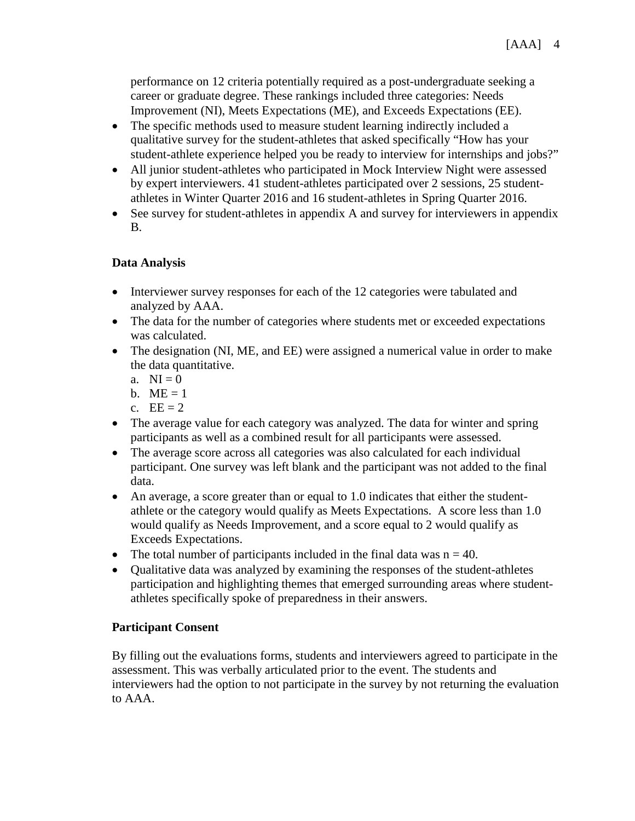performance on 12 criteria potentially required as a post-undergraduate seeking a career or graduate degree. These rankings included three categories: Needs Improvement (NI), Meets Expectations (ME), and Exceeds Expectations (EE).

- The specific methods used to measure student learning indirectly included a qualitative survey for the student-athletes that asked specifically "How has your student-athlete experience helped you be ready to interview for internships and jobs?"
- All junior student-athletes who participated in Mock Interview Night were assessed by expert interviewers. 41 student-athletes participated over 2 sessions, 25 studentathletes in Winter Quarter 2016 and 16 student-athletes in Spring Quarter 2016.
- See survey for student-athletes in appendix A and survey for interviewers in appendix B.

## **Data Analysis**

- Interviewer survey responses for each of the 12 categories were tabulated and analyzed by AAA.
- The data for the number of categories where students met or exceeded expectations was calculated.
- The designation (NI, ME, and EE) were assigned a numerical value in order to make the data quantitative.
	- a.  $NI = 0$
	- b.  $ME = 1$
	- c.  $EE = 2$
- The average value for each category was analyzed. The data for winter and spring participants as well as a combined result for all participants were assessed.
- The average score across all categories was also calculated for each individual participant. One survey was left blank and the participant was not added to the final data.
- An average, a score greater than or equal to 1.0 indicates that either the studentathlete or the category would qualify as Meets Expectations. A score less than 1.0 would qualify as Needs Improvement, and a score equal to 2 would qualify as Exceeds Expectations.
- The total number of participants included in the final data was  $n = 40$ .
- Qualitative data was analyzed by examining the responses of the student-athletes participation and highlighting themes that emerged surrounding areas where studentathletes specifically spoke of preparedness in their answers.

## **Participant Consent**

By filling out the evaluations forms, students and interviewers agreed to participate in the assessment. This was verbally articulated prior to the event. The students and interviewers had the option to not participate in the survey by not returning the evaluation to AAA.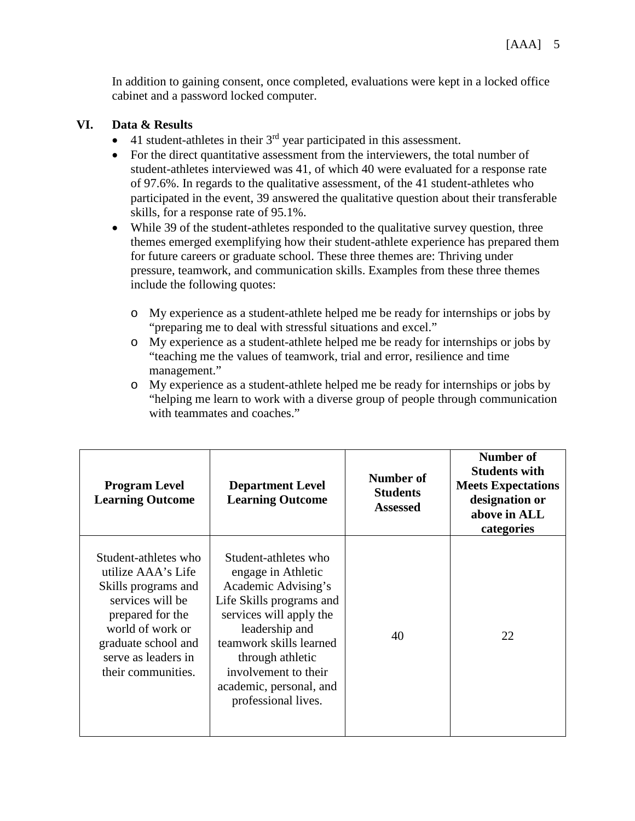In addition to gaining consent, once completed, evaluations were kept in a locked office cabinet and a password locked computer.

## **VI. Data & Results**

- 41 student-athletes in their  $3<sup>rd</sup>$  year participated in this assessment.
- For the direct quantitative assessment from the interviewers, the total number of student-athletes interviewed was 41, of which 40 were evaluated for a response rate of 97.6%. In regards to the qualitative assessment, of the 41 student-athletes who participated in the event, 39 answered the qualitative question about their transferable skills, for a response rate of 95.1%.
- While 39 of the student-athletes responded to the qualitative survey question, three themes emerged exemplifying how their student-athlete experience has prepared them for future careers or graduate school. These three themes are: Thriving under pressure, teamwork, and communication skills. Examples from these three themes include the following quotes:
	- o My experience as a student-athlete helped me be ready for internships or jobs by "preparing me to deal with stressful situations and excel."
	- o My experience as a student-athlete helped me be ready for internships or jobs by "teaching me the values of teamwork, trial and error, resilience and time management."
	- o My experience as a student-athlete helped me be ready for internships or jobs by "helping me learn to work with a diverse group of people through communication with teammates and coaches."

| <b>Program Level</b><br><b>Learning Outcome</b>                                                                                                                                                   | <b>Department Level</b><br><b>Learning Outcome</b>                                                                                                                                                                                                                  | Number of<br><b>Students</b><br><b>Assessed</b> | Number of<br><b>Students with</b><br><b>Meets Expectations</b><br>designation or<br>above in ALL<br>categories |
|---------------------------------------------------------------------------------------------------------------------------------------------------------------------------------------------------|---------------------------------------------------------------------------------------------------------------------------------------------------------------------------------------------------------------------------------------------------------------------|-------------------------------------------------|----------------------------------------------------------------------------------------------------------------|
| Student-athletes who<br>utilize AAA's Life<br>Skills programs and<br>services will be<br>prepared for the<br>world of work or<br>graduate school and<br>serve as leaders in<br>their communities. | Student-athletes who<br>engage in Athletic<br>Academic Advising's<br>Life Skills programs and<br>services will apply the<br>leadership and<br>teamwork skills learned<br>through athletic<br>involvement to their<br>academic, personal, and<br>professional lives. | 40                                              | 22                                                                                                             |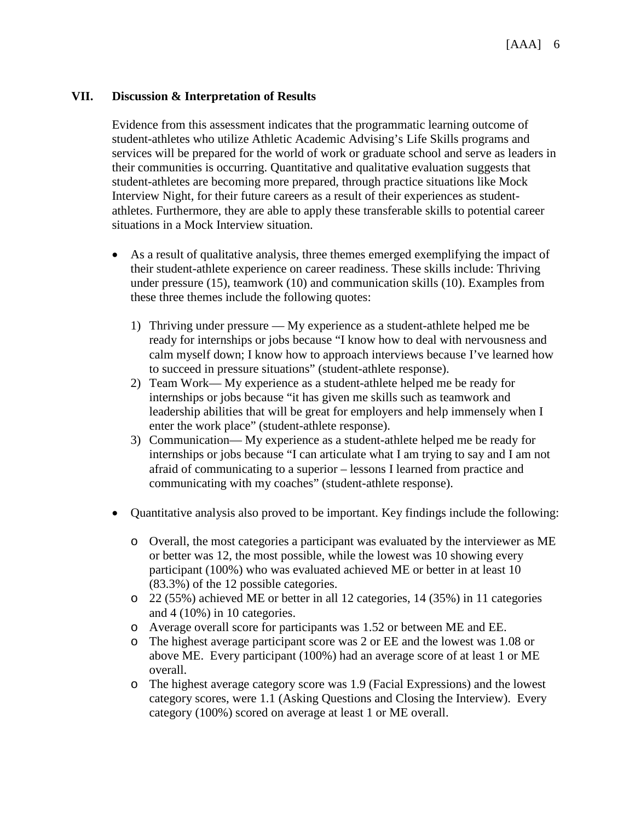### **VII. Discussion & Interpretation of Results**

Evidence from this assessment indicates that the programmatic learning outcome of student-athletes who utilize Athletic Academic Advising's Life Skills programs and services will be prepared for the world of work or graduate school and serve as leaders in their communities is occurring. Quantitative and qualitative evaluation suggests that student-athletes are becoming more prepared, through practice situations like Mock Interview Night, for their future careers as a result of their experiences as studentathletes. Furthermore, they are able to apply these transferable skills to potential career situations in a Mock Interview situation.

- As a result of qualitative analysis, three themes emerged exemplifying the impact of their student-athlete experience on career readiness. These skills include: Thriving under pressure (15), teamwork (10) and communication skills (10). Examples from these three themes include the following quotes:
	- 1) Thriving under pressure My experience as a student-athlete helped me be ready for internships or jobs because "I know how to deal with nervousness and calm myself down; I know how to approach interviews because I've learned how to succeed in pressure situations" (student-athlete response).
	- 2) Team Work— My experience as a student-athlete helped me be ready for internships or jobs because "it has given me skills such as teamwork and leadership abilities that will be great for employers and help immensely when I enter the work place" (student-athlete response).
	- 3) Communication— My experience as a student-athlete helped me be ready for internships or jobs because "I can articulate what I am trying to say and I am not afraid of communicating to a superior – lessons I learned from practice and communicating with my coaches" (student-athlete response).
- Quantitative analysis also proved to be important. Key findings include the following:
	- o Overall, the most categories a participant was evaluated by the interviewer as ME or better was 12, the most possible, while the lowest was 10 showing every participant (100%) who was evaluated achieved ME or better in at least 10 (83.3%) of the 12 possible categories.
	- o 22 (55%) achieved ME or better in all 12 categories, 14 (35%) in 11 categories and 4 (10%) in 10 categories.
	- o Average overall score for participants was 1.52 or between ME and EE.
	- o The highest average participant score was 2 or EE and the lowest was 1.08 or above ME. Every participant (100%) had an average score of at least 1 or ME overall.
	- o The highest average category score was 1.9 (Facial Expressions) and the lowest category scores, were 1.1 (Asking Questions and Closing the Interview). Every category (100%) scored on average at least 1 or ME overall.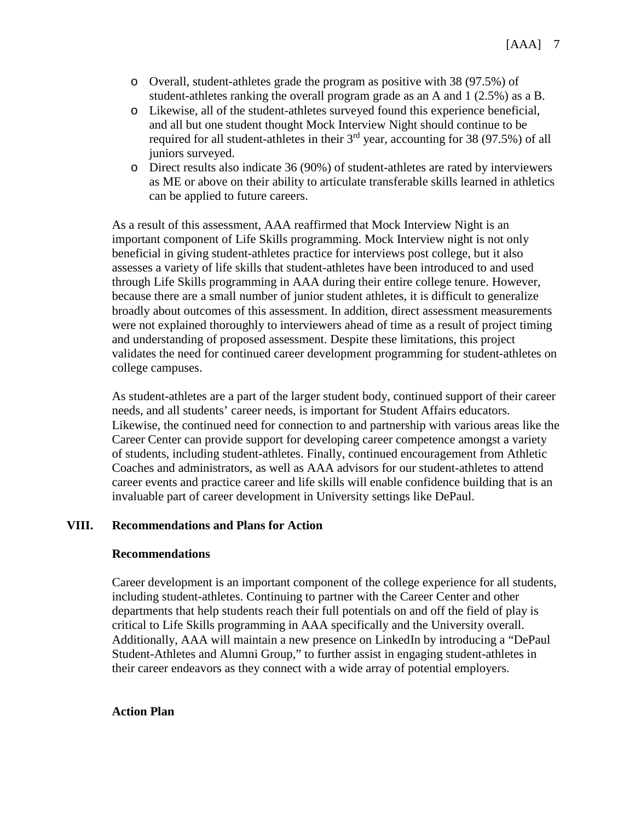- o Overall, student-athletes grade the program as positive with 38 (97.5%) of student-athletes ranking the overall program grade as an A and 1 (2.5%) as a B.
- o Likewise, all of the student-athletes surveyed found this experience beneficial, and all but one student thought Mock Interview Night should continue to be required for all student-athletes in their  $3<sup>rd</sup>$  year, accounting for 38 (97.5%) of all juniors surveyed.
- o Direct results also indicate 36 (90%) of student-athletes are rated by interviewers as ME or above on their ability to articulate transferable skills learned in athletics can be applied to future careers.

As a result of this assessment, AAA reaffirmed that Mock Interview Night is an important component of Life Skills programming. Mock Interview night is not only beneficial in giving student-athletes practice for interviews post college, but it also assesses a variety of life skills that student-athletes have been introduced to and used through Life Skills programming in AAA during their entire college tenure. However, because there are a small number of junior student athletes, it is difficult to generalize broadly about outcomes of this assessment. In addition, direct assessment measurements were not explained thoroughly to interviewers ahead of time as a result of project timing and understanding of proposed assessment. Despite these limitations, this project validates the need for continued career development programming for student-athletes on college campuses.

As student-athletes are a part of the larger student body, continued support of their career needs, and all students' career needs, is important for Student Affairs educators. Likewise, the continued need for connection to and partnership with various areas like the Career Center can provide support for developing career competence amongst a variety of students, including student-athletes. Finally, continued encouragement from Athletic Coaches and administrators, as well as AAA advisors for our student-athletes to attend career events and practice career and life skills will enable confidence building that is an invaluable part of career development in University settings like DePaul.

### **VIII. Recommendations and Plans for Action**

### **Recommendations**

Career development is an important component of the college experience for all students, including student-athletes. Continuing to partner with the Career Center and other departments that help students reach their full potentials on and off the field of play is critical to Life Skills programming in AAA specifically and the University overall. Additionally, AAA will maintain a new presence on LinkedIn by introducing a "DePaul Student-Athletes and Alumni Group," to further assist in engaging student-athletes in their career endeavors as they connect with a wide array of potential employers.

### **Action Plan**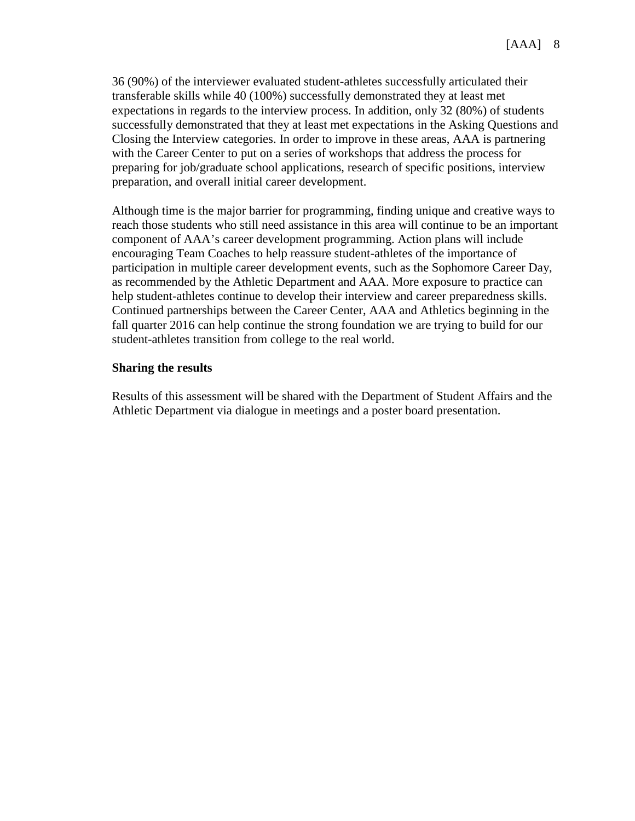36 (90%) of the interviewer evaluated student-athletes successfully articulated their transferable skills while 40 (100%) successfully demonstrated they at least met expectations in regards to the interview process. In addition, only 32 (80%) of students successfully demonstrated that they at least met expectations in the Asking Questions and Closing the Interview categories. In order to improve in these areas, AAA is partnering with the Career Center to put on a series of workshops that address the process for preparing for job/graduate school applications, research of specific positions, interview preparation, and overall initial career development.

Although time is the major barrier for programming, finding unique and creative ways to reach those students who still need assistance in this area will continue to be an important component of AAA's career development programming. Action plans will include encouraging Team Coaches to help reassure student-athletes of the importance of participation in multiple career development events, such as the Sophomore Career Day, as recommended by the Athletic Department and AAA. More exposure to practice can help student-athletes continue to develop their interview and career preparedness skills. Continued partnerships between the Career Center, AAA and Athletics beginning in the fall quarter 2016 can help continue the strong foundation we are trying to build for our student-athletes transition from college to the real world.

### **Sharing the results**

Results of this assessment will be shared with the Department of Student Affairs and the Athletic Department via dialogue in meetings and a poster board presentation.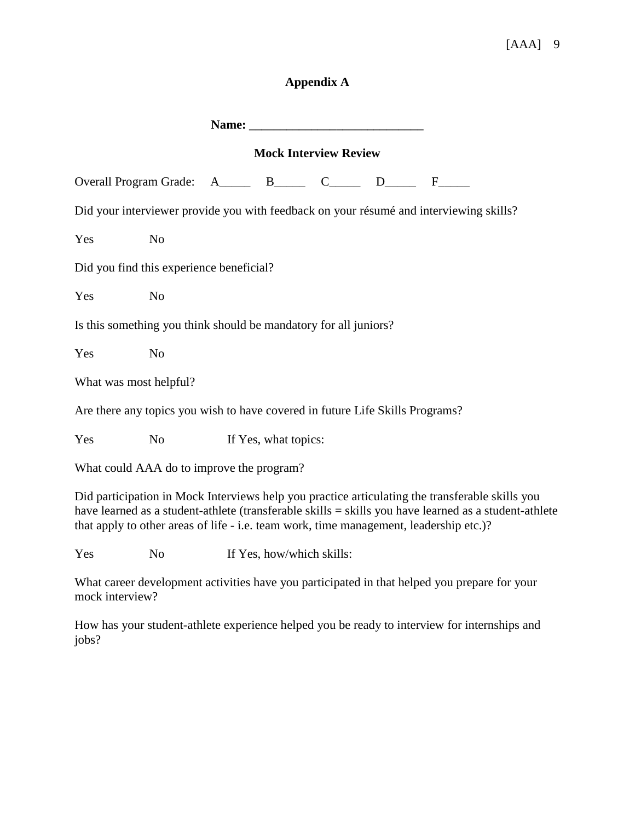# [AAA] 9

## **Appendix A**

| Name: Name and the second state of the second state of the second state of the second state of the second state of the second state of the second state of the second state of the second state of the second state of the sec |                |  |                           |  |  |                                                                                                                                                                                                                                                                                                    |  |  |
|--------------------------------------------------------------------------------------------------------------------------------------------------------------------------------------------------------------------------------|----------------|--|---------------------------|--|--|----------------------------------------------------------------------------------------------------------------------------------------------------------------------------------------------------------------------------------------------------------------------------------------------------|--|--|
| <b>Mock Interview Review</b>                                                                                                                                                                                                   |                |  |                           |  |  |                                                                                                                                                                                                                                                                                                    |  |  |
| Overall Program Grade: A_____ B_____ C_____ D____ F____                                                                                                                                                                        |                |  |                           |  |  |                                                                                                                                                                                                                                                                                                    |  |  |
| Did your interviewer provide you with feedback on your résumé and interviewing skills?                                                                                                                                         |                |  |                           |  |  |                                                                                                                                                                                                                                                                                                    |  |  |
| Yes                                                                                                                                                                                                                            | N <sub>o</sub> |  |                           |  |  |                                                                                                                                                                                                                                                                                                    |  |  |
| Did you find this experience beneficial?                                                                                                                                                                                       |                |  |                           |  |  |                                                                                                                                                                                                                                                                                                    |  |  |
| Yes                                                                                                                                                                                                                            | N <sub>o</sub> |  |                           |  |  |                                                                                                                                                                                                                                                                                                    |  |  |
| Is this something you think should be mandatory for all juniors?                                                                                                                                                               |                |  |                           |  |  |                                                                                                                                                                                                                                                                                                    |  |  |
| Yes                                                                                                                                                                                                                            | N <sub>o</sub> |  |                           |  |  |                                                                                                                                                                                                                                                                                                    |  |  |
| What was most helpful?                                                                                                                                                                                                         |                |  |                           |  |  |                                                                                                                                                                                                                                                                                                    |  |  |
| Are there any topics you wish to have covered in future Life Skills Programs?                                                                                                                                                  |                |  |                           |  |  |                                                                                                                                                                                                                                                                                                    |  |  |
| Yes                                                                                                                                                                                                                            | N <sub>o</sub> |  | If Yes, what topics:      |  |  |                                                                                                                                                                                                                                                                                                    |  |  |
| What could AAA do to improve the program?                                                                                                                                                                                      |                |  |                           |  |  |                                                                                                                                                                                                                                                                                                    |  |  |
|                                                                                                                                                                                                                                |                |  |                           |  |  | Did participation in Mock Interviews help you practice articulating the transferable skills you<br>have learned as a student-athlete (transferable skills = skills you have learned as a student-athlete<br>that apply to other areas of life - i.e. team work, time management, leadership etc.)? |  |  |
| Yes                                                                                                                                                                                                                            | N <sub>0</sub> |  | If Yes, how/which skills: |  |  |                                                                                                                                                                                                                                                                                                    |  |  |

What career development activities have you participated in that helped you prepare for your mock interview?

How has your student-athlete experience helped you be ready to interview for internships and jobs?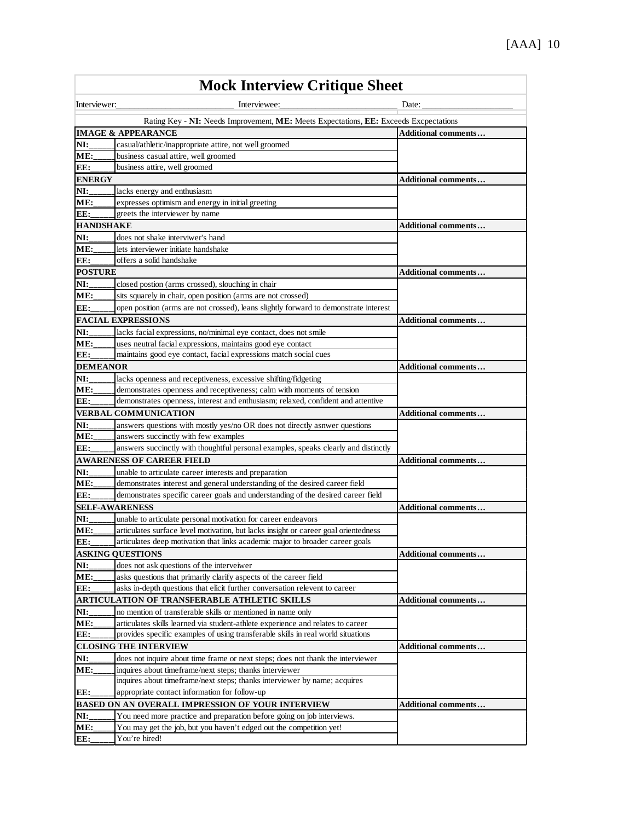| <b>Mock Interview Critique Sheet</b>                                                  |                                                                                                                                                                 |                            |  |  |  |
|---------------------------------------------------------------------------------------|-----------------------------------------------------------------------------------------------------------------------------------------------------------------|----------------------------|--|--|--|
| Interviewer:                                                                          | Interviewee:                                                                                                                                                    | Date:                      |  |  |  |
| Rating Key - NI: Needs Improvement, ME: Meets Expectations, EE: Exceeds Excpectations |                                                                                                                                                                 |                            |  |  |  |
| <b>IMAGE &amp; APPEARANCE</b><br><b>Additional comments</b>                           |                                                                                                                                                                 |                            |  |  |  |
| NI:                                                                                   | casual/athletic/inappropriate attire, not well groomed                                                                                                          |                            |  |  |  |
| ME:                                                                                   | business casual attire, well groomed                                                                                                                            |                            |  |  |  |
| EE:                                                                                   | business attire, well groomed                                                                                                                                   |                            |  |  |  |
| <b>ENERGY</b>                                                                         |                                                                                                                                                                 | <b>Additional comments</b> |  |  |  |
| NI:                                                                                   | lacks energy and enthusiasm                                                                                                                                     |                            |  |  |  |
| ME:                                                                                   | expresses optimism and energy in initial greeting                                                                                                               |                            |  |  |  |
| EE:                                                                                   | greets the interviewer by name                                                                                                                                  |                            |  |  |  |
| <b>HANDSHAKE</b>                                                                      |                                                                                                                                                                 | <b>Additional comments</b> |  |  |  |
| NI:                                                                                   | does not shake interviwer's hand                                                                                                                                |                            |  |  |  |
| ME:                                                                                   | lets interviewer initiate handshake                                                                                                                             |                            |  |  |  |
| EE:                                                                                   | offers a solid handshake                                                                                                                                        |                            |  |  |  |
| <b>POSTURE</b>                                                                        |                                                                                                                                                                 | <b>Additional comments</b> |  |  |  |
| NI:                                                                                   | closed postion (arms crossed), slouching in chair                                                                                                               |                            |  |  |  |
| ME:                                                                                   | sits squarely in chair, open position (arms are not crossed)                                                                                                    |                            |  |  |  |
| EE:                                                                                   | open position (arms are not crossed), leans slightly forward to demonstrate interest                                                                            |                            |  |  |  |
|                                                                                       | <b>FACIAL EXPRESSIONS</b>                                                                                                                                       | <b>Additional comments</b> |  |  |  |
| NI:                                                                                   | lacks facial expressions, no/minimal eye contact, does not smile                                                                                                |                            |  |  |  |
| ME:                                                                                   | uses neutral facial expressions, maintains good eye contact                                                                                                     |                            |  |  |  |
| EE:                                                                                   | maintains good eye contact, facial expressions match social cues                                                                                                |                            |  |  |  |
| <b>DEMEANOR</b>                                                                       |                                                                                                                                                                 | <b>Additional comments</b> |  |  |  |
| NI:                                                                                   | lacks openness and receptiveness, excessive shifting/fidgeting                                                                                                  |                            |  |  |  |
| ME:                                                                                   | demonstrates openness and receptiveness; calm with moments of tension                                                                                           |                            |  |  |  |
| EE:                                                                                   | demonstrates openness, interest and enthusiasm; relaxed, confident and attentive                                                                                |                            |  |  |  |
|                                                                                       | <b>VERBAL COMMUNICATION</b>                                                                                                                                     | <b>Additional comments</b> |  |  |  |
| NI:                                                                                   | answers questions with mostly yes/no OR does not directly asnwer questions                                                                                      |                            |  |  |  |
| ME:                                                                                   | answers succinctly with few examples                                                                                                                            |                            |  |  |  |
| EE:                                                                                   | answers succinctly with thoughtful personal examples, speaks clearly and distinctly                                                                             |                            |  |  |  |
|                                                                                       | <b>AWARENESS OF CAREER FIELD</b>                                                                                                                                | <b>Additional comments</b> |  |  |  |
| NI:<br>ME:                                                                            | unable to articulate career interests and preparation                                                                                                           |                            |  |  |  |
|                                                                                       | demonstrates interest and general understanding of the desired career field<br>demonstrates specific career goals and understanding of the desired career field |                            |  |  |  |
| EE:<br><b>SELF-AWARENESS</b>                                                          |                                                                                                                                                                 |                            |  |  |  |
| NI:                                                                                   |                                                                                                                                                                 | <b>Additional comments</b> |  |  |  |
| ME:                                                                                   | unable to articulate personal motivation for career endeavors<br>articulates surface level motivation, but lacks insight or career goal orientedness            |                            |  |  |  |
| EE:                                                                                   | articulates deep motivation that links academic major to broader career goals                                                                                   |                            |  |  |  |
|                                                                                       | <b>ASKING QUESTIONS</b>                                                                                                                                         | Additional comments        |  |  |  |
| NI:                                                                                   | does not ask questions of the interveiwer                                                                                                                       |                            |  |  |  |
| ME:                                                                                   | asks questions that primarily clarify aspects of the career field                                                                                               |                            |  |  |  |
| EE:                                                                                   | asks in-depth questions that elicit further conversation relevent to career                                                                                     |                            |  |  |  |
|                                                                                       | ARTICULATION OF TRANSFERABLE ATHLETIC SKILLS                                                                                                                    | <b>Additional comments</b> |  |  |  |
| NI:                                                                                   | no mention of transferable skills or mentioned in name only                                                                                                     |                            |  |  |  |
| ME:                                                                                   | articulates skills learned via student-athlete experience and relates to career                                                                                 |                            |  |  |  |
| EE:                                                                                   | provides specific examples of using transferable skills in real world situations                                                                                |                            |  |  |  |
|                                                                                       | <b>CLOSING THE INTERVIEW</b>                                                                                                                                    | Additional comments        |  |  |  |
| NI:                                                                                   | does not inquire about time frame or next steps; does not thank the interviewer                                                                                 |                            |  |  |  |
| ME:                                                                                   | inquires about timeframe/next steps; thanks interviewer                                                                                                         |                            |  |  |  |
|                                                                                       | inquires about timeframe/next steps; thanks interviewer by name; acquires                                                                                       |                            |  |  |  |
| EE:                                                                                   | appropriate contact information for follow-up                                                                                                                   |                            |  |  |  |
|                                                                                       | <b>BASED ON AN OVERALL IMPRESSION OF YOUR INTERVIEW</b>                                                                                                         | <b>Additional comments</b> |  |  |  |
| NI:                                                                                   | You need more practice and preparation before going on job interviews.                                                                                          |                            |  |  |  |
| ME:                                                                                   | You may get the job, but you haven't edged out the competition yet!                                                                                             |                            |  |  |  |
| EE:                                                                                   | You're hired!                                                                                                                                                   |                            |  |  |  |